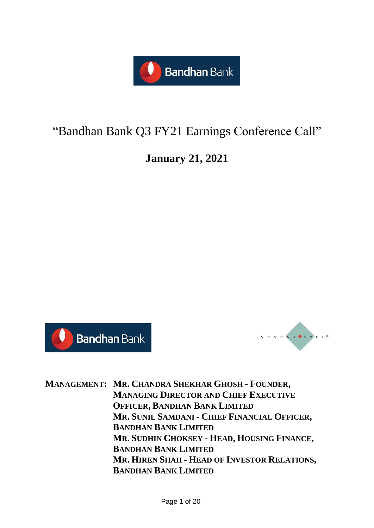

# "Bandhan Bank Q3 FY21 Earnings Conference Call"

# **January 21, 2021**





**MANAGEMENT: MR. CHANDRA SHEKHAR GHOSH - FOUNDER, MANAGING DIRECTOR AND CHIEF EXECUTIVE OFFICER, BANDHAN BANK LIMITED MR. SUNIL SAMDANI - CHIEF FINANCIAL OFFICER, BANDHAN BANK LIMITED MR. SUDHIN CHOKSEY - HEAD, HOUSING FINANCE, BANDHAN BANK LIMITED MR. HIREN SHAH - HEAD OF INVESTOR RELATIONS, BANDHAN BANK LIMITED**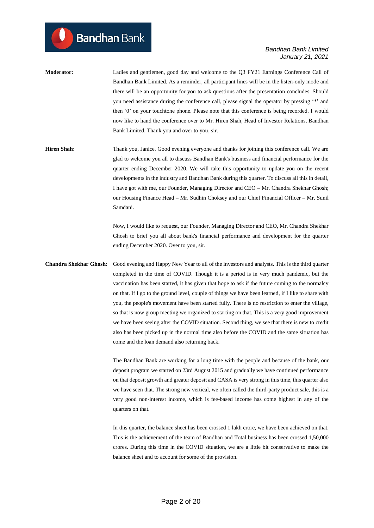- **Moderator:** Ladies and gentlemen, good day and welcome to the Q3 FY21 Earnings Conference Call of Bandhan Bank Limited. As a reminder, all participant lines will be in the listen-only mode and there will be an opportunity for you to ask questions after the presentation concludes. Should you need assistance during the conference call, please signal the operator by pressing '\*' and then '0' on your touchtone phone. Please note that this conference is being recorded. I would now like to hand the conference over to Mr. Hiren Shah, Head of Investor Relations, Bandhan Bank Limited. Thank you and over to you, sir.
- **Hiren Shah:** Thank you, Janice. Good evening everyone and thanks for joining this conference call. We are glad to welcome you all to discuss Bandhan Bank's business and financial performance for the quarter ending December 2020. We will take this opportunity to update you on the recent developments in the industry and Bandhan Bank during this quarter. To discuss all this in detail, I have got with me, our Founder, Managing Director and CEO – Mr. Chandra Shekhar Ghosh; our Housing Finance Head – Mr. Sudhin Choksey and our Chief Financial Officer – Mr. Sunil Samdani.

Now, I would like to request, our Founder, Managing Director and CEO, Mr. Chandra Shekhar Ghosh to brief you all about bank's financial performance and development for the quarter ending December 2020. Over to you, sir.

**Chandra Shekhar Ghosh:** Good evening and Happy New Year to all of the investors and analysts. This is the third quarter completed in the time of COVID. Though it is a period is in very much pandemic, but the vaccination has been started, it has given that hope to ask if the future coming to the normalcy on that. If I go to the ground level, couple of things we have been learned, if I like to share with you, the people's movement have been started fully. There is no restriction to enter the village, so that is now group meeting we organized to starting on that. This is a very good improvement we have been seeing after the COVID situation. Second thing, we see that there is new to credit also has been picked up in the normal time also before the COVID and the same situation has come and the loan demand also returning back.

> The Bandhan Bank are working for a long time with the people and because of the bank, our deposit program we started on 23rd August 2015 and gradually we have continued performance on that deposit growth and greater deposit and CASA is very strong in this time, this quarter also we have seen that. The strong new vertical, we often called the third-party product sale, this is a very good non-interest income, which is fee-based income has come highest in any of the quarters on that.

> In this quarter, the balance sheet has been crossed 1 lakh crore, we have been achieved on that. This is the achievement of the team of Bandhan and Total business has been crossed 1,50,000 crores. During this time in the COVID situation, we are a little bit conservative to make the balance sheet and to account for some of the provision.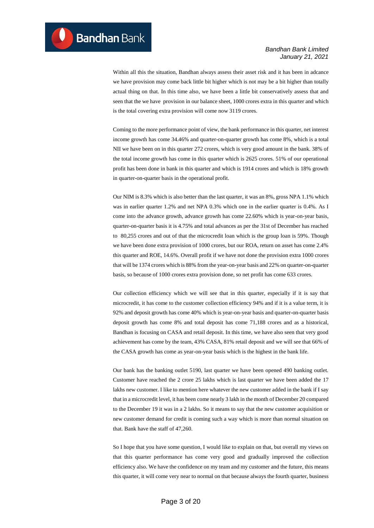Within all this the situation, Bandhan always assess their asset risk and it has been in adcance we have provision may come back little bit higher which is not may be a bit higher than totally actual thing on that. In this time also, we have been a little bit conservatively assess that and seen that the we have provision in our balance sheet, 1000 crores extra in this quarter and which is the total covering extra provision will come now 3119 crores.

Coming to the more performance point of view, the bank performance in this quarter, net interest income growth has come 34.46% and quarter-on-quarter growth has come 8%, which is a total NII we have been on in this quarter 272 crores, which is very good amount in the bank. 38% of the total income growth has come in this quarter which is 2625 crores. 51% of our operational profit has been done in bank in this quarter and which is 1914 crores and which is 18% growth in quarter-on-quarter basis in the operational profit.

Our NIM is 8.3% which is also better than the last quarter, it was an 8%, gross NPA 1.1% which was in earlier quarter 1.2% and net NPA 0.3% which one in the earlier quarter is 0.4%. As I come into the advance growth, advance growth has come 22.60% which is year-on-year basis, quarter-on-quarter basis it is 4.75% and total advances as per the 31st of December has reached to 80,255 crores and out of that the microcredit loan which is the group loan is 59%. Though we have been done extra provision of 1000 crores, but our ROA, return on asset has come 2.4% this quarter and ROE, 14.6%. Overall profit if we have not done the provision extra 1000 crores that will be 1374 crores which is 88% from the year-on-year basis and 22% on quarter-on-quarter basis, so because of 1000 crores extra provision done, so net profit has come 633 crores.

Our collection efficiency which we will see that in this quarter, especially if it is say that microcredit, it has come to the customer collection efficiency 94% and if it is a value term, it is 92% and deposit growth has come 40% which is year-on-year basis and quarter-on-quarter basis deposit growth has come 8% and total deposit has come 71,188 crores and as a historical, Bandhan is focusing on CASA and retail deposit. In this time, we have also seen that very good achievement has come by the team, 43% CASA, 81% retail deposit and we will see that 66% of the CASA growth has come as year-on-year basis which is the highest in the bank life.

Our bank has the banking outlet 5190, last quarter we have been opened 490 banking outlet. Customer have reached the 2 crore 25 lakhs which is last quarter we have been added the 17 lakhs new customer. I like to mention here whatever the new customer added in the bank if I say that in a microcredit level, it has been come nearly 3 lakh in the month of December 20 compared to the December 19 it was in a 2 lakhs. So it means to say that the new customer acquisition or new customer demand for credit is coming such a way which is more than normal situation on that. Bank have the staff of 47,260.

So I hope that you have some question, I would like to explain on that, but overall my views on that this quarter performance has come very good and gradually improved the collection efficiency also. We have the confidence on my team and my customer and the future, this means this quarter, it will come very near to normal on that because always the fourth quarter, business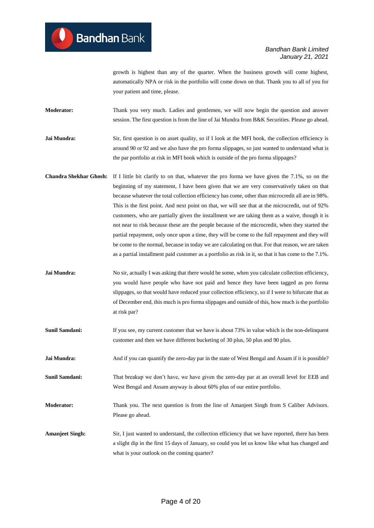growth is highest than any of the quarter. When the business growth will come highest, automatically NPA or risk in the portfolio will come down on that. Thank you to all of you for your patient and time, please.

**Moderator:** Thank you very much. Ladies and gentlemen, we will now begin the question and answer session. The first question is from the line of Jai Mundra from B&K Securities. Please go ahead.

**Jai Mundra:** Sir, first question is on asset quality, so if I look at the MFI book, the collection efficiency is around 90 or 92 and we also have the pro forma slippages, so just wanted to understand what is the par portfolio at risk in MFI book which is outside of the pro forma slippages?

- **Chandra Shekhar Ghosh:** If I little bit clarify to on that, whatever the pro forma we have given the 7.1%, so on the beginning of my statement, I have been given that we are very conservatively taken on that because whatever the total collection efficiency has come, other than microcredit all are in 98%. This is the first point. And next point on that, we will see that at the microcredit, out of 92% customers, who are partially given the installment we are taking them as a waive, though it is not near to risk because these are the people because of the microcredit, when they started the partial repayment, only once upon a time, they will be come to the full repayment and they will be come to the normal, because in today we are calculating on that. For that reason, we are taken as a partial installment paid customer as a portfolio as risk in it, so that it has come to the 7.1%.
- **Jai Mundra:** No sir, actually I was asking that there would be some, when you calculate collection efficiency, you would have people who have not paid and hence they have been tagged as pro forma slippages, so that would have reduced your collection efficiency, so if I were to bifurcate that as of December end, this much is pro forma slippages and outside of this, how much is the portfolio at risk par?
- **Sunil Samdani:** If you see, my current customer that we have is about 73% in value which is the non-delinquent customer and then we have different bucketing of 30 plus, 50 plus and 90 plus.
- **Jai Mundra:** And if you can quantify the zero-day par in the state of West Bengal and Assam if it is possible?

**Sunil Samdani:** That breakup we don't have, we have given the zero-day par at an overall level for EEB and West Bengal and Assam anyway is about 60% plus of our entire portfolio.

**Moderator:** Thank you. The next question is from the line of Amanjeet Singh from S Caliber Advisors. Please go ahead.

**Amanjeet Singh:** Sir, I just wanted to understand, the collection efficiency that we have reported, there has been a slight dip in the first 15 days of January, so could you let us know like what has changed and what is your outlook on the coming quarter?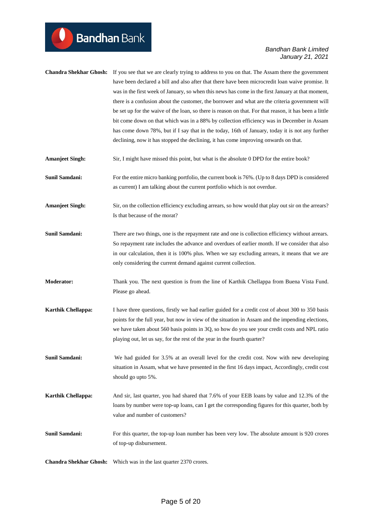|                           | Chandra Shekhar Ghosh: If you see that we are clearly trying to address to you on that. The Assam there the government<br>have been declared a bill and also after that there have been microcredit loan waive promise. It<br>was in the first week of January, so when this news has come in the first January at that moment,<br>there is a confusion about the customer, the borrower and what are the criteria government will<br>be set up for the waive of the loan, so there is reason on that. For that reason, it has been a little<br>bit come down on that which was in a 88% by collection efficiency was in December in Assam<br>has come down 78%, but if I say that in the today, 16th of January, today it is not any further<br>declining, now it has stopped the declining, it has come improving onwards on that. |
|---------------------------|--------------------------------------------------------------------------------------------------------------------------------------------------------------------------------------------------------------------------------------------------------------------------------------------------------------------------------------------------------------------------------------------------------------------------------------------------------------------------------------------------------------------------------------------------------------------------------------------------------------------------------------------------------------------------------------------------------------------------------------------------------------------------------------------------------------------------------------|
| <b>Amanjeet Singh:</b>    | Sir, I might have missed this point, but what is the absolute 0 DPD for the entire book?                                                                                                                                                                                                                                                                                                                                                                                                                                                                                                                                                                                                                                                                                                                                             |
| <b>Sunil Samdani:</b>     | For the entire micro banking portfolio, the current book is 76%. (Up to 8 days DPD is considered<br>as current) I am talking about the current portfolio which is not overdue.                                                                                                                                                                                                                                                                                                                                                                                                                                                                                                                                                                                                                                                       |
| <b>Amanjeet Singh:</b>    | Sir, on the collection efficiency excluding arrears, so how would that play out sir on the arrears?<br>Is that because of the morat?                                                                                                                                                                                                                                                                                                                                                                                                                                                                                                                                                                                                                                                                                                 |
| Sunil Samdani:            | There are two things, one is the repayment rate and one is collection efficiency without arrears.<br>So repayment rate includes the advance and overdues of earlier month. If we consider that also<br>in our calculation, then it is 100% plus. When we say excluding arrears, it means that we are<br>only considering the current demand against current collection.                                                                                                                                                                                                                                                                                                                                                                                                                                                              |
| <b>Moderator:</b>         | Thank you. The next question is from the line of Karthik Chellappa from Buena Vista Fund.<br>Please go ahead.                                                                                                                                                                                                                                                                                                                                                                                                                                                                                                                                                                                                                                                                                                                        |
| <b>Karthik Chellappa:</b> | I have three questions, firstly we had earlier guided for a credit cost of about 300 to 350 basis<br>points for the full year, but now in view of the situation in Assam and the impending elections,<br>we have taken about 560 basis points in 3Q, so how do you see your credit costs and NPL ratio<br>playing out, let us say, for the rest of the year in the fourth quarter?                                                                                                                                                                                                                                                                                                                                                                                                                                                   |
| <b>Sunil Samdani:</b>     | We had guided for 3.5% at an overall level for the credit cost. Now with new developing<br>situation in Assam, what we have presented in the first 16 days impact, Accordingly, credit cost<br>should go upto 5%.                                                                                                                                                                                                                                                                                                                                                                                                                                                                                                                                                                                                                    |
| <b>Karthik Chellappa:</b> | And sir, last quarter, you had shared that 7.6% of your EEB loans by value and 12.3% of the<br>loans by number were top-up loans, can I get the corresponding figures for this quarter, both by<br>value and number of customers?                                                                                                                                                                                                                                                                                                                                                                                                                                                                                                                                                                                                    |
| <b>Sunil Samdani:</b>     | For this quarter, the top-up loan number has been very low. The absolute amount is 920 crores<br>of top-up disbursement.                                                                                                                                                                                                                                                                                                                                                                                                                                                                                                                                                                                                                                                                                                             |
|                           | Chandra Shekhar Ghosh: Which was in the last quarter 2370 crores.                                                                                                                                                                                                                                                                                                                                                                                                                                                                                                                                                                                                                                                                                                                                                                    |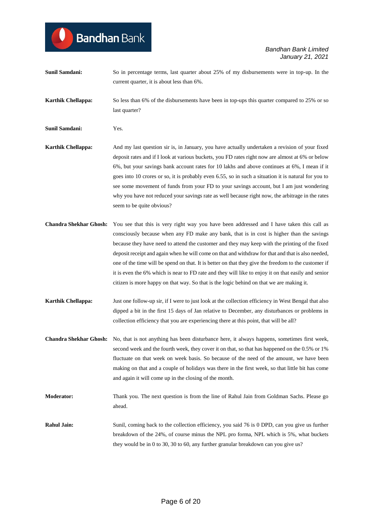**Sunil Samdani:** So in percentage terms, last quarter about 25% of my disbursements were in top-up. In the current quarter, it is about less than 6%.

**Karthik Chellappa:** So less than 6% of the disbursements have been in top-ups this quarter compared to 25% or so last quarter?

**Sunil Samdani:** Yes.

**Bandhan** Bank

- **Karthik Chellappa:** And my last question sir is, in January, you have actually undertaken a revision of your fixed deposit rates and if I look at various buckets, you FD rates right now are almost at 6% or below 6%, but your savings bank account rates for 10 lakhs and above continues at 6%, I mean if it goes into 10 crores or so, it is probably even 6.55, so in such a situation it is natural for you to see some movement of funds from your FD to your savings account, but I am just wondering why you have not reduced your savings rate as well because right now, the arbitrage in the rates seem to be quite obvious?
- **Chandra Shekhar Ghosh:** You see that this is very right way you have been addressed and I have taken this call as consciously because when any FD make any bank, that is in cost is higher than the savings because they have need to attend the customer and they may keep with the printing of the fixed deposit receipt and again when he will come on that and withdraw for that and that is also needed, one of the time will be spend on that. It is better on that they give the freedom to the customer if it is even the 6% which is near to FD rate and they will like to enjoy it on that easily and senior citizen is more happy on that way. So that is the logic behind on that we are making it.
- **Karthik Chellappa:** Just one follow-up sir, if I were to just look at the collection efficiency in West Bengal that also dipped a bit in the first 15 days of Jan relative to December, any disturbances or problems in collection efficiency that you are experiencing there at this point, that will be all?
- **Chandra Shekhar Ghosh:** No, that is not anything has been disturbance here, it always happens, sometimes first week, second week and the fourth week, they cover it on that, so that has happened on the 0.5% or 1% fluctuate on that week on week basis. So because of the need of the amount, we have been making on that and a couple of holidays was there in the first week, so that little bit has come and again it will come up in the closing of the month.
- **Moderator:** Thank you. The next question is from the line of Rahul Jain from Goldman Sachs. Please go ahead.
- **Rahul Jain:** Sunil, coming back to the collection efficiency, you said 76 is 0 DPD, can you give us further breakdown of the 24%, of course minus the NPL pro forma, NPL which is 5%, what buckets they would be in 0 to 30, 30 to 60, any further granular breakdown can you give us?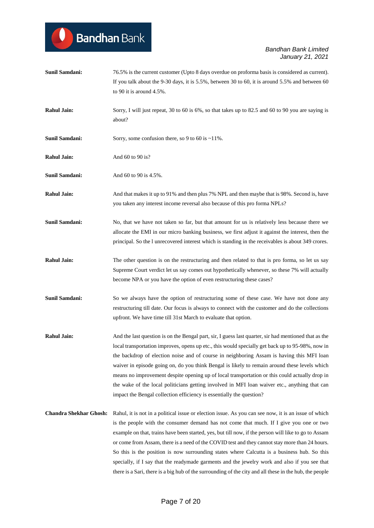

| <b>Sunil Samdani:</b>         | 76.5% is the current customer (Upto 8 days overdue on proforma basis is considered as current).                                                                                                                                                                                                                                                                                                                                                                                                                                                                                                                                                                                                                      |
|-------------------------------|----------------------------------------------------------------------------------------------------------------------------------------------------------------------------------------------------------------------------------------------------------------------------------------------------------------------------------------------------------------------------------------------------------------------------------------------------------------------------------------------------------------------------------------------------------------------------------------------------------------------------------------------------------------------------------------------------------------------|
|                               | If you talk about the 9-30 days, it is 5.5%, between 30 to 60, it is around 5.5% and between 60                                                                                                                                                                                                                                                                                                                                                                                                                                                                                                                                                                                                                      |
|                               | to 90 it is around $4.5\%$ .                                                                                                                                                                                                                                                                                                                                                                                                                                                                                                                                                                                                                                                                                         |
| <b>Rahul Jain:</b>            | Sorry, I will just repeat, 30 to 60 is 6%, so that takes up to 82.5 and 60 to 90 you are saying is<br>about?                                                                                                                                                                                                                                                                                                                                                                                                                                                                                                                                                                                                         |
| <b>Sunil Samdani:</b>         | Sorry, some confusion there, so 9 to 60 is $\sim$ 11%.                                                                                                                                                                                                                                                                                                                                                                                                                                                                                                                                                                                                                                                               |
| <b>Rahul Jain:</b>            | And 60 to 90 is?                                                                                                                                                                                                                                                                                                                                                                                                                                                                                                                                                                                                                                                                                                     |
| <b>Sunil Samdani:</b>         | And 60 to 90 is 4.5%.                                                                                                                                                                                                                                                                                                                                                                                                                                                                                                                                                                                                                                                                                                |
| <b>Rahul Jain:</b>            | And that makes it up to 91% and then plus 7% NPL and then maybe that is 98%. Second is, have<br>you taken any interest income reversal also because of this pro forma NPLs?                                                                                                                                                                                                                                                                                                                                                                                                                                                                                                                                          |
| <b>Sunil Samdani:</b>         | No, that we have not taken so far, but that amount for us is relatively less because there we<br>allocate the EMI in our micro banking business, we first adjust it against the interest, then the<br>principal. So the 1 unrecovered interest which is standing in the receivables is about 349 crores.                                                                                                                                                                                                                                                                                                                                                                                                             |
| <b>Rahul Jain:</b>            | The other question is on the restructuring and then related to that is pro forma, so let us say<br>Supreme Court verdict let us say comes out hypothetically whenever, so these 7% will actually<br>become NPA or you have the option of even restructuring these cases?                                                                                                                                                                                                                                                                                                                                                                                                                                             |
| <b>Sunil Samdani:</b>         | So we always have the option of restructuring some of these case. We have not done any<br>restructuring till date. Our focus is always to connect with the customer and do the collections<br>upfront. We have time till 31st March to evaluate that option.                                                                                                                                                                                                                                                                                                                                                                                                                                                         |
| <b>Rahul Jain:</b>            | And the last question is on the Bengal part, sir, I guess last quarter, sir had mentioned that as the<br>local transportation improves, opens up etc., this would specially get back up to 95-98%, now in<br>the backdrop of election noise and of course in neighboring Assam is having this MFI loan<br>waiver in episode going on, do you think Bengal is likely to remain around these levels which<br>means no improvement despite opening up of local transportation or this could actually drop in<br>the wake of the local politicians getting involved in MFI loan waiver etc., anything that can<br>impact the Bengal collection efficiency is essentially the question?                                   |
| <b>Chandra Shekhar Ghosh:</b> | Rahul, it is not in a political issue or election issue. As you can see now, it is an issue of which<br>is the people with the consumer demand has not come that much. If I give you one or two<br>example on that, trains have been started, yes, but till now, if the person will like to go to Assam<br>or come from Assam, there is a need of the COVID test and they cannot stay more than 24 hours.<br>So this is the position is now surrounding states where Calcutta is a business hub. So this<br>specially, if I say that the readymade garments and the jewelry work and also if you see that<br>there is a Sari, there is a big hub of the surrounding of the city and all these in the hub, the people |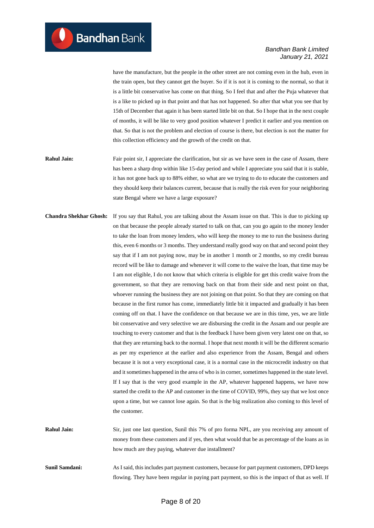have the manufacture, but the people in the other street are not coming even in the hub, even in the train open, but they cannot get the buyer. So if it is not it is coming to the normal, so that it is a little bit conservative has come on that thing. So I feel that and after the Puja whatever that is a like to picked up in that point and that has not happened. So after that what you see that by 15th of December that again it has been started little bit on that. So I hope that in the next couple of months, it will be like to very good position whatever I predict it earlier and you mention on that. So that is not the problem and election of course is there, but election is not the matter for this collection efficiency and the growth of the credit on that.

- **Rahul Jain:** Fair point sir, I appreciate the clarification, but sir as we have seen in the case of Assam, there has been a sharp drop within like 15-day period and while I appreciate you said that it is stable, it has not gone back up to 88% either, so what are we trying to do to educate the customers and they should keep their balances current, because that is really the risk even for your neighboring state Bengal where we have a large exposure?
- **Chandra Shekhar Ghosh:** If you say that Rahul, you are talking about the Assam issue on that. This is due to picking up on that because the people already started to talk on that, can you go again to the money lender to take the loan from money lenders, who will keep the money to me to run the business during this, even 6 months or 3 months. They understand really good way on that and second point they say that if I am not paying now, may be in another 1 month or 2 months, so my credit bureau record will be like to damage and whenever it will come to the waive the loan, that time may be I am not eligible, I do not know that which criteria is eligible for get this credit waive from the government, so that they are removing back on that from their side and next point on that, whoever running the business they are not joining on that point. So that they are coming on that because in the first rumor has come, immediately little bit it impacted and gradually it has been coming off on that. I have the confidence on that because we are in this time, yes, we are little bit conservative and very selective we are disbursing the credit in the Assam and our people are touching to every customer and that is the feedback I have been given very latest one on that, so that they are returning back to the normal. I hope that next month it will be the different scenario as per my experience at the earlier and also experience from the Assam, Bengal and others because it is not a very exceptional case, it is a normal case in the microcredit industry on that and it sometimes happened in the area of who is in corner, sometimes happened in the state level. If I say that is the very good example in the AP, whatever happened happens, we have now started the credit to the AP and customer in the time of COVID, 99%, they say that we lost once upon a time, but we cannot lose again. So that is the big realization also coming to this level of the customer.
- **Rahul Jain:** Sir, just one last question, Sunil this 7% of pro forma NPL, are you receiving any amount of money from these customers and if yes, then what would that be as percentage of the loans as in how much are they paying, whatever due installment?
- **Sunil Samdani:** As I said, this includes part payment customers, because for part payment customers, DPD keeps flowing. They have been regular in paying part payment, so this is the impact of that as well. If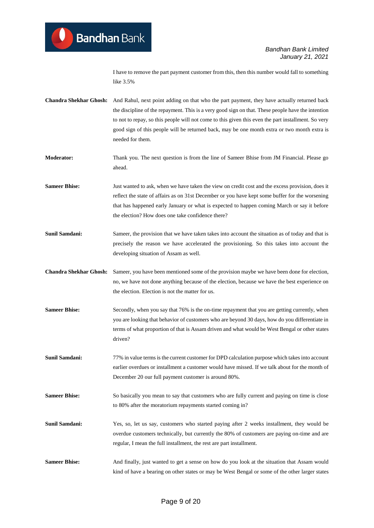I have to remove the part payment customer from this, then this number would fall to something like 3.5%

**Chandra Shekhar Ghosh:** And Rahul, next point adding on that who the part payment, they have actually returned back the discipline of the repayment. This is a very good sign on that. These people have the intention to not to repay, so this people will not come to this given this even the part installment. So very good sign of this people will be returned back, may be one month extra or two month extra is needed for them.

**Moderator:** Thank you. The next question is from the line of Sameer Bhise from JM Financial. Please go ahead.

**Sameer Bhise:** Just wanted to ask, when we have taken the view on credit cost and the excess provision, does it reflect the state of affairs as on 31st December or you have kept some buffer for the worsening that has happened early January or what is expected to happen coming March or say it before the election? How does one take confidence there?

**Sunil Samdani:** Sameer, the provision that we have taken takes into account the situation as of today and that is precisely the reason we have accelerated the provisioning. So this takes into account the developing situation of Assam as well.

**Chandra Shekhar Ghosh:** Sameer, you have been mentioned some of the provision maybe we have been done for election, no, we have not done anything because of the election, because we have the best experience on the election. Election is not the matter for us.

**Sameer Bhise:** Secondly, when you say that 76% is the on-time repayment that you are getting currently, when you are looking that behavior of customers who are beyond 30 days, how do you differentiate in terms of what proportion of that is Assam driven and what would be West Bengal or other states driven?

**Sunil Samdani:** 77% in value terms is the current customer for DPD calculation purpose which takes into account earlier overdues or installment a customer would have missed. If we talk about for the month of December 20 our full payment customer is around 80%.

**Sameer Bhise:** So basically you mean to say that customers who are fully current and paying on time is close to 80% after the moratorium repayments started coming in?

**Sunil Samdani:** Yes, so, let us say, customers who started paying after 2 weeks installment, they would be overdue customers technically, but currently the 80% of customers are paying on-time and are regular, I mean the full installment, the rest are part installment.

Sameer Bhise: And finally, just wanted to get a sense on how do you look at the situation that Assam would kind of have a bearing on other states or may be West Bengal or some of the other larger states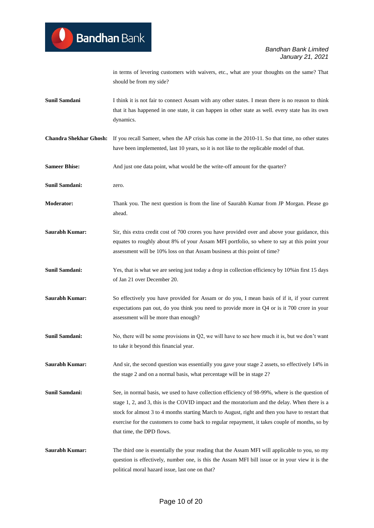in terms of levering customers with waivers, etc., what are your thoughts on the same? That should be from my side?

- **Sunil Samdani** I think it is not fair to connect Assam with any other states. I mean there is no reason to think that it has happened in one state, it can happen in other state as well. every state has its own dynamics.
- **Chandra Shekhar Ghosh:** If you recall Sameer, when the AP crisis has come in the 2010-11. So that time, no other states have been implemented, last 10 years, so it is not like to the replicable model of that.
- **Sameer Bhise:** And just one data point, what would be the write-off amount for the quarter?
- **Sunil Samdani:** zero.
- **Moderator:** Thank you. The next question is from the line of Saurabh Kumar from JP Morgan. Please go ahead.
- **Saurabh Kumar:** Sir, this extra credit cost of 700 crores you have provided over and above your guidance, this equates to roughly about 8% of your Assam MFI portfolio, so where to say at this point your assessment will be 10% loss on that Assam business at this point of time?
- **Sunil Samdani:** Yes, that is what we are seeing just today a drop in collection efficiency by 10% in first 15 days of Jan 21 over December 20.
- **Saurabh Kumar:** So effectively you have provided for Assam or do you, I mean basis of if it, if your current expectations pan out, do you think you need to provide more in Q4 or is it 700 crore in your assessment will be more than enough?
- **Sunil Samdani:** No, there will be some provisions in Q2, we will have to see how much it is, but we don't want to take it beyond this financial year.
- **Saurabh Kumar:** And sir, the second question was essentially you gave your stage 2 assets, so effectively 14% in the stage 2 and on a normal basis, what percentage will be in stage 2?
- **Sunil Samdani:** See, in normal basis, we used to have collection efficiency of 98-99%, where is the question of stage 1, 2, and 3, this is the COVID impact and the moratorium and the delay. When there is a stock for almost 3 to 4 months starting March to August, right and then you have to restart that exercise for the customers to come back to regular repayment, it takes couple of months, so by that time, the DPD flows.
- **Saurabh Kumar:** The third one is essentially the your reading that the Assam MFI will applicable to you, so my question is effectively, number one, is this the Assam MFI bill issue or in your view it is the political moral hazard issue, last one on that?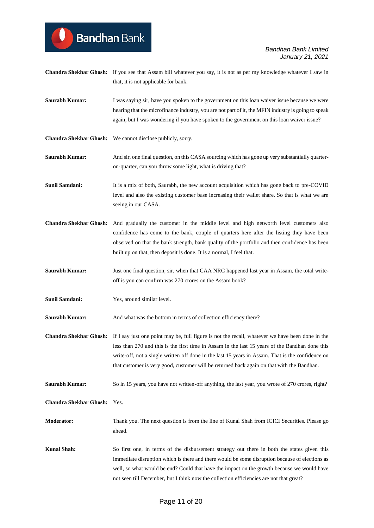| <b>Saurabh Kumar:</b>         | I was saying sir, have you spoken to the government on this loan waiver issue because we were<br>hearing that the microfinance industry, you are not part of it, the MFIN industry is going to speak<br>again, but I was wondering if you have spoken to the government on this loan waiver issue?                                                                                                     |
|-------------------------------|--------------------------------------------------------------------------------------------------------------------------------------------------------------------------------------------------------------------------------------------------------------------------------------------------------------------------------------------------------------------------------------------------------|
| <b>Chandra Shekhar Ghosh:</b> | We cannot disclose publicly, sorry.                                                                                                                                                                                                                                                                                                                                                                    |
| <b>Saurabh Kumar:</b>         | And sir, one final question, on this CASA sourcing which has gone up very substantially quarter-<br>on-quarter, can you throw some light, what is driving that?                                                                                                                                                                                                                                        |
| <b>Sunil Samdani:</b>         | It is a mix of both, Saurabh, the new account acquisition which has gone back to pre-COVID<br>level and also the existing customer base increasing their wallet share. So that is what we are<br>seeing in our CASA.                                                                                                                                                                                   |
| <b>Chandra Shekhar Ghosh:</b> | And gradually the customer in the middle level and high networth level customers also<br>confidence has come to the bank, couple of quarters here after the listing they have been<br>observed on that the bank strength, bank quality of the portfolio and then confidence has been<br>built up on that, then deposit is done. It is a normal, I feel that.                                           |
| <b>Saurabh Kumar:</b>         | Just one final question, sir, when that CAA NRC happened last year in Assam, the total write-<br>off is you can confirm was 270 crores on the Assam book?                                                                                                                                                                                                                                              |
|                               |                                                                                                                                                                                                                                                                                                                                                                                                        |
| <b>Sunil Samdani:</b>         | Yes, around similar level.                                                                                                                                                                                                                                                                                                                                                                             |
| <b>Saurabh Kumar:</b>         | And what was the bottom in terms of collection efficiency there?                                                                                                                                                                                                                                                                                                                                       |
| <b>Chandra Shekhar Ghosh:</b> | If I say just one point may be, full figure is not the recall, whatever we have been done in the<br>less than 270 and this is the first time in Assam in the last 15 years of the Bandhan done this<br>write-off, not a single written off done in the last 15 years in Assam. That is the confidence on<br>that customer is very good, customer will be returned back again on that with the Bandhan. |
| Saurabh Kumar:                | So in 15 years, you have not written-off anything, the last year, you wrote of 270 crores, right?                                                                                                                                                                                                                                                                                                      |
| <b>Chandra Shekhar Ghosh:</b> | Yes.                                                                                                                                                                                                                                                                                                                                                                                                   |
| <b>Moderator:</b>             | Thank you. The next question is from the line of Kunal Shah from ICICI Securities. Please go<br>ahead.                                                                                                                                                                                                                                                                                                 |

**Chandra Shekhar Ghosh:** if you see that Assam bill whatever you say, it is not as per my knowledge whatever I saw in

that, it is not applicable for bank.

**Bandhan** Bank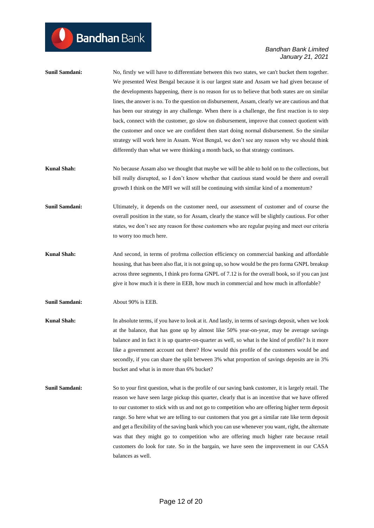| Sunil Samdani: | No, firstly we will have to differentiate between this two states, we can't bucket them together. |
|----------------|---------------------------------------------------------------------------------------------------|
|                | We presented West Bengal because it is our largest state and Assam we had given because of        |
|                | the developments happening, there is no reason for us to believe that both states are on similar  |
|                | lines, the answer is no. To the question on disbursement, Assam, clearly we are cautious and that |
|                | has been our strategy in any challenge. When there is a challenge, the first reaction is to step  |
|                | back, connect with the customer, go slow on disbursement, improve that connect quotient with      |
|                | the customer and once we are confident then start doing normal disbursement. So the similar       |
|                | strategy will work here in Assam. West Bengal, we don't see any reason why we should think        |
|                | differently than what we were thinking a month back, so that strategy continues.                  |
| Kunal Shah:    | No because Assam also we thought that maybe we will be able to hold on to the collections, but    |
|                | bill really disrupted, so I don't know whether that cautious stand would be there and overall     |

**Sunil Samdani:** Ultimately, it depends on the customer need, our assessment of customer and of course the overall position in the state, so for Assam, clearly the stance will be slightly cautious. For other states, we don't see any reason for those customers who are regular paying and meet our criteria to worry too much here.

growth I think on the MFI we will still be continuing with similar kind of a momentum?

- **Kunal Shah:** And second, in terms of profrma collection efficiency on commercial banking and affordable housing, that has been also flat, it is not going up, so how would be the pro forma GNPL breakup across three segments, I think pro forma GNPL of 7.12 is for the overall book, so if you can just give it how much it is there in EEB, how much in commercial and how much in affordable?
- **Sunil Samdani:** About 90% is EEB.
- **Kunal Shah:** In absolute terms, if you have to look at it. And lastly, in terms of savings deposit, when we look at the balance, that has gone up by almost like 50% year-on-year, may be average savings balance and in fact it is up quarter-on-quarter as well, so what is the kind of profile? Is it more like a government account out there? How would this profile of the customers would be and secondly, if you can share the split between 3% what proportion of savings deposits are in 3% bucket and what is in more than 6% bucket?
- **Sunil Samdani:** So to your first question, what is the profile of our saving bank customer, it is largely retail. The reason we have seen large pickup this quarter, clearly that is an incentive that we have offered to our customer to stick with us and not go to competition who are offering higher term deposit range. So here what we are telling to our customers that you get a similar rate like term deposit and get a flexibility of the saving bank which you can use whenever you want, right, the alternate was that they might go to competition who are offering much higher rate because retail customers do look for rate. So in the bargain, we have seen the improvement in our CASA balances as well.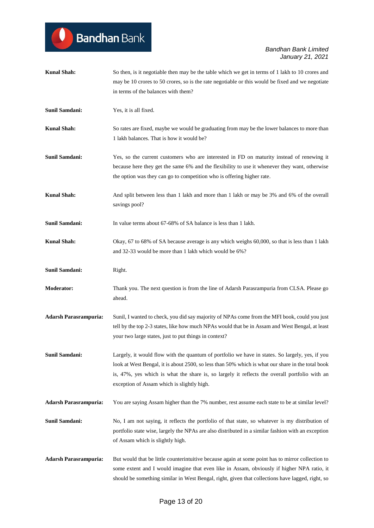| <b>Kunal Shah:</b>           | So then, is it negotiable then may be the table which we get in terms of 1 lakh to 10 crores and<br>may be 10 crores to 50 crores, so is the rate negotiable or this would be fixed and we negotiate<br>in terms of the balances with them?                                                                                                         |
|------------------------------|-----------------------------------------------------------------------------------------------------------------------------------------------------------------------------------------------------------------------------------------------------------------------------------------------------------------------------------------------------|
| <b>Sunil Samdani:</b>        | Yes, it is all fixed.                                                                                                                                                                                                                                                                                                                               |
| <b>Kunal Shah:</b>           | So rates are fixed, maybe we would be graduating from may be the lower balances to more than<br>1 lakh balances. That is how it would be?                                                                                                                                                                                                           |
| <b>Sunil Samdani:</b>        | Yes, so the current customers who are interested in FD on maturity instead of renewing it<br>because here they get the same 6% and the flexibility to use it whenever they want, otherwise<br>the option was they can go to competition who is offering higher rate.                                                                                |
| <b>Kunal Shah:</b>           | And split between less than 1 lakh and more than 1 lakh or may be 3% and 6% of the overall<br>savings pool?                                                                                                                                                                                                                                         |
| Sunil Samdani:               | In value terms about 67-68% of SA balance is less than 1 lakh.                                                                                                                                                                                                                                                                                      |
| <b>Kunal Shah:</b>           | Okay, 67 to 68% of SA because average is any which weighs 60,000, so that is less than 1 lakh<br>and 32-33 would be more than 1 lakh which would be 6%?                                                                                                                                                                                             |
| <b>Sunil Samdani:</b>        | Right.                                                                                                                                                                                                                                                                                                                                              |
| <b>Moderator:</b>            | Thank you. The next question is from the line of Adarsh Parasrampuria from CLSA. Please go<br>ahead.                                                                                                                                                                                                                                                |
| <b>Adarsh Parasrampuria:</b> | Sunil, I wanted to check, you did say majority of NPAs come from the MFI book, could you just<br>tell by the top 2-3 states, like how much NPAs would that be in Assam and West Bengal, at least<br>your two large states, just to put things in context?                                                                                           |
| <b>Sunil Samdani:</b>        | Largely, it would flow with the quantum of portfolio we have in states. So largely, yes, if you<br>look at West Bengal, it is about 2500, so less than 50% which is what our share in the total book<br>is, 47%, yes which is what the share is, so largely it reflects the overall portfolio with an<br>exception of Assam which is slightly high. |
| <b>Adarsh Parasrampuria:</b> | You are saying Assam higher than the 7% number, rest assume each state to be at similar level?                                                                                                                                                                                                                                                      |
| Sunil Samdani:               | No, I am not saying, it reflects the portfolio of that state, so whatever is my distribution of<br>portfolio state wise, largely the NPAs are also distributed in a similar fashion with an exception<br>of Assam which is slightly high.                                                                                                           |
| <b>Adarsh Parasrampuria:</b> | But would that be little counterintuitive because again at some point has to mirror collection to<br>some extent and I would imagine that even like in Assam, obviously if higher NPA ratio, it<br>should be something similar in West Bengal, right, given that collections have lagged, right, so                                                 |

Bandhan Bank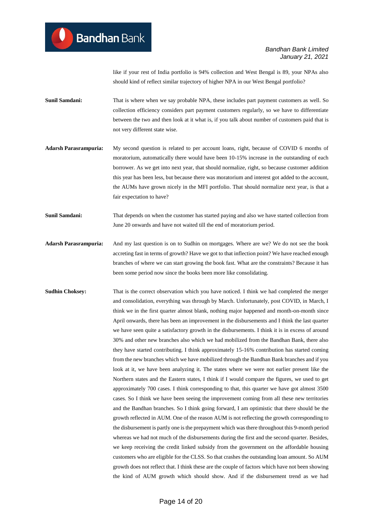like if your rest of India portfolio is 94% collection and West Bengal is 89, your NPAs also should kind of reflect similar trajectory of higher NPA in our West Bengal portfolio?

- **Sunil Samdani:** That is where when we say probable NPA, these includes part payment customers as well. So collection efficiency considers part payment customers regularly, so we have to differentiate between the two and then look at it what is, if you talk about number of customers paid that is not very different state wise.
- **Adarsh Parasrampuria:** My second question is related to per account loans, right, because of COVID 6 months of moratorium, automatically there would have been 10-15% increase in the outstanding of each borrower. As we get into next year, that should normalize, right, so because customer addition this year has been less, but because there was moratorium and interest got added to the account, the AUMs have grown nicely in the MFI portfolio. That should normalize next year, is that a fair expectation to have?
- **Sunil Samdani:** That depends on when the customer has started paying and also we have started collection from June 20 onwards and have not waited till the end of moratorium period.
- **Adarsh Parasrampuria:** And my last question is on to Sudhin on mortgages. Where are we? We do not see the book accreting fast in terms of growth? Have we got to that inflection point? We have reached enough branches of where we can start growing the book fast. What are the constraints? Because it has been some period now since the books been more like consolidating.
- **Sudhin Choksey:** That is the correct observation which you have noticed. I think we had completed the merger and consolidation, everything was through by March. Unfortunately, post COVID, in March, I think we in the first quarter almost blank, nothing major happened and month-on-month since April onwards, there has been an improvement in the disbursements and I think the last quarter we have seen quite a satisfactory growth in the disbursements. I think it is in excess of around 30% and other new branches also which we had mobilized from the Bandhan Bank, there also they have started contributing. I think approximately 15-16% contribution has started coming from the new branches which we have mobilized through the Bandhan Bank branches and if you look at it, we have been analyzing it. The states where we were not earlier present like the Northern states and the Eastern states, I think if I would compare the figures, we used to get approximately 700 cases. I think corresponding to that, this quarter we have got almost 3500 cases. So I think we have been seeing the improvement coming from all these new territories and the Bandhan branches. So I think going forward, I am optimistic that there should be the growth reflected in AUM. One of the reason AUM is not reflecting the growth corresponding to the disbursement is partly one is the prepayment which was there throughout this 9-month period whereas we had not much of the disbursements during the first and the second quarter. Besides, we keep receiving the credit linked subsidy from the government on the affordable housing customers who are eligible for the CLSS. So that crashes the outstanding loan amount. So AUM growth does not reflect that. I think these are the couple of factors which have not been showing the kind of AUM growth which should show. And if the disbursement trend as we had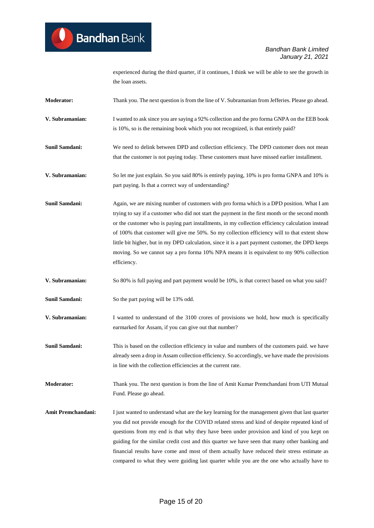experienced during the third quarter, if it continues, I think we will be able to see the growth in the loan assets.

- **Moderator:** Thank you. The next question is from the line of V. Subramanian from Jefferies. Please go ahead.
- **V. Subramanian:** I wanted to ask since you are saying a 92% collection and the pro forma GNPA on the EEB book is 10%, so is the remaining book which you not recognized, is that entirely paid?
- **Sunil Samdani:** We need to delink between DPD and collection efficiency. The DPD customer does not mean that the customer is not paying today. These customers must have missed earlier installment.
- **V. Subramanian:** So let me just explain. So you said 80% is entirely paying, 10% is pro forma GNPA and 10% is part paying. Is that a correct way of understanding?
- **Sunil Samdani:** Again, we are mixing number of customers with pro forma which is a DPD position. What I am trying to say if a customer who did not start the payment in the first month or the second month or the customer who is paying part installments, in my collection efficiency calculation instead of 100% that customer will give me 50%. So my collection efficiency will to that extent show little bit higher, but in my DPD calculation, since it is a part payment customer, the DPD keeps moving. So we cannot say a pro forma 10% NPA means it is equivalent to my 90% collection efficiency.
- **V. Subramanian:** So 80% is full paying and part payment would be 10%, is that correct based on what you said?
- **Sunil Samdani:** So the part paying will be 13% odd.
- **V. Subramanian:** I wanted to understand of the 3100 crores of provisions we hold, how much is specifically earmarked for Assam, if you can give out that number?

**Sunil Samdani:** This is based on the collection efficiency in value and numbers of the customers paid. we have already seen a drop in Assam collection efficiency. So accordingly, we have made the provisions in line with the collection efficiencies at the current rate.

**Moderator:** Thank you. The next question is from the line of Amit Kumar Premchandani from UTI Mutual Fund. Please go ahead.

**Amit Premchandani:** I just wanted to understand what are the key learning for the management given that last quarter you did not provide enough for the COVID related stress and kind of despite repeated kind of questions from my end is that why they have been under provision and kind of you kept on guiding for the similar credit cost and this quarter we have seen that many other banking and financial results have come and most of them actually have reduced their stress estimate as compared to what they were guiding last quarter while you are the one who actually have to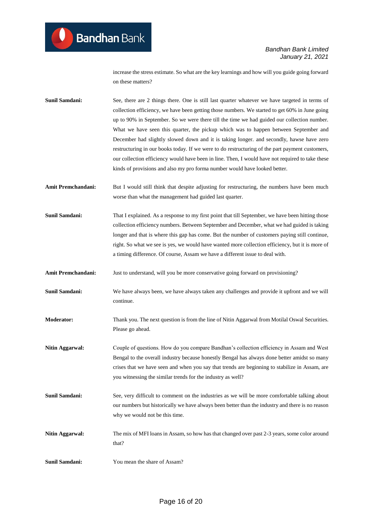increase the stress estimate. So what are the key learnings and how will you guide going forward on these matters?

**Sunil Samdani:** See, there are 2 things there. One is still last quarter whatever we have targeted in terms of collection efficiency, we have been getting those numbers. We started to get 60% in June going up to 90% in September. So we were there till the time we had guided our collection number. What we have seen this quarter, the pickup which was to happen between September and December had slightly slowed down and it is taking longer. and secondly, hawse have zero restructuring in our books today. If we were to do restructuring of the part payment customers, our collection efficiency would have been in line. Then, I would have not required to take these kinds of provisions and also my pro forma number would have looked better.

- Amit Premchandani: But I would still think that despite adjusting for restructuring, the numbers have been much worse than what the management had guided last quarter.
- **Sunil Samdani:** That I explained. As a response to my first point that till September, we have been hitting those collection efficiency numbers. Between September and December, what we had guided is taking longer and that is where this gap has come. But the number of customers paying still continue, right. So what we see is yes, we would have wanted more collection efficiency, but it is more of a timing difference. Of course, Assam we have a different issue to deal with.

**Amit Premchandani:** Just to understand, will you be more conservative going forward on provisioning?

- **Sunil Samdani:** We have always been, we have always taken any challenges and provide it upfront and we will continue.
- **Moderator:** Thank you. The next question is from the line of Nitin Aggarwal from Motilal Oswal Securities. Please go ahead.
- **Nitin Aggarwal:** Couple of questions. How do you compare Bandhan's collection efficiency in Assam and West Bengal to the overall industry because honestly Bengal has always done better amidst so many crises that we have seen and when you say that trends are beginning to stabilize in Assam, are you witnessing the similar trends for the industry as well?
- **Sunil Samdani:** See, very difficult to comment on the industries as we will be more comfortable talking about our numbers but historically we have always been better than the industry and there is no reason why we would not be this time.
- **Nitin Aggarwal:** The mix of MFI loans in Assam, so how has that changed over past 2-3 years, some color around that?
- **Sunil Samdani:** You mean the share of Assam?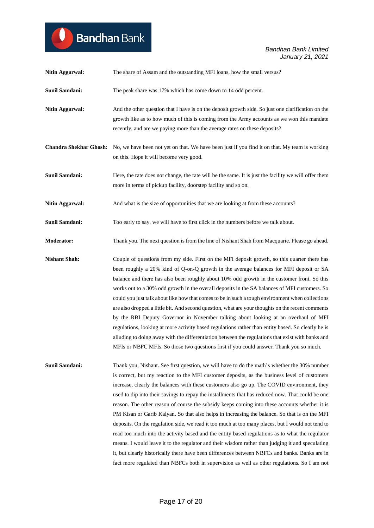| <b>Nitin Aggarwal:</b>        | The share of Assam and the outstanding MFI loans, how the small versus?                                                                                                                                                                                                                                                                                                                                                                                                                                                                                                                                                                                                                                                                                                                                                                                                                                                                                                                                         |
|-------------------------------|-----------------------------------------------------------------------------------------------------------------------------------------------------------------------------------------------------------------------------------------------------------------------------------------------------------------------------------------------------------------------------------------------------------------------------------------------------------------------------------------------------------------------------------------------------------------------------------------------------------------------------------------------------------------------------------------------------------------------------------------------------------------------------------------------------------------------------------------------------------------------------------------------------------------------------------------------------------------------------------------------------------------|
| <b>Sunil Samdani:</b>         | The peak share was 17% which has come down to 14 odd percent.                                                                                                                                                                                                                                                                                                                                                                                                                                                                                                                                                                                                                                                                                                                                                                                                                                                                                                                                                   |
| Nitin Aggarwal:               | And the other question that I have is on the deposit growth side. So just one clarification on the<br>growth like as to how much of this is coming from the Army accounts as we won this mandate<br>recently, and are we paying more than the average rates on these deposits?                                                                                                                                                                                                                                                                                                                                                                                                                                                                                                                                                                                                                                                                                                                                  |
| <b>Chandra Shekhar Ghosh:</b> | No, we have been not yet on that. We have been just if you find it on that. My team is working<br>on this. Hope it will become very good.                                                                                                                                                                                                                                                                                                                                                                                                                                                                                                                                                                                                                                                                                                                                                                                                                                                                       |
| Sunil Samdani:                | Here, the rate does not change, the rate will be the same. It is just the facility we will offer them<br>more in terms of pickup facility, doorstep facility and so on.                                                                                                                                                                                                                                                                                                                                                                                                                                                                                                                                                                                                                                                                                                                                                                                                                                         |
| <b>Nitin Aggarwal:</b>        | And what is the size of opportunities that we are looking at from these accounts?                                                                                                                                                                                                                                                                                                                                                                                                                                                                                                                                                                                                                                                                                                                                                                                                                                                                                                                               |
| <b>Sunil Samdani:</b>         | Too early to say, we will have to first click in the numbers before we talk about.                                                                                                                                                                                                                                                                                                                                                                                                                                                                                                                                                                                                                                                                                                                                                                                                                                                                                                                              |
| <b>Moderator:</b>             | Thank you. The next question is from the line of Nishant Shah from Macquarie. Please go ahead.                                                                                                                                                                                                                                                                                                                                                                                                                                                                                                                                                                                                                                                                                                                                                                                                                                                                                                                  |
| <b>Nishant Shah:</b>          | Couple of questions from my side. First on the MFI deposit growth, so this quarter there has<br>been roughly a 20% kind of Q-on-Q growth in the average balances for MFI deposit or SA<br>balance and there has also been roughly about 10% odd growth in the customer front. So this<br>works out to a 30% odd growth in the overall deposits in the SA balances of MFI customers. So<br>could you just talk about like how that comes to be in such a tough environment when collections<br>are also dropped a little bit. And second question, what are your thoughts on the recent comments<br>by the RBI Deputy Governor in November talking about looking at an overhaul of MFI<br>regulations, looking at more activity based regulations rather than entity based. So clearly he is<br>alluding to doing away with the differentiation between the regulations that exist with banks and<br>MFIs or NBFC MFIs. So those two questions first if you could answer. Thank you so much.                     |
| <b>Sunil Samdani:</b>         | Thank you, Nishant. See first question, we will have to do the math's whether the 30% number<br>is correct, but my reaction to the MFI customer deposits, as the business level of customers<br>increase, clearly the balances with these customers also go up. The COVID environment, they<br>used to dip into their savings to repay the installments that has reduced now. That could be one<br>reason. The other reason of course the subsidy keeps coming into these accounts whether it is<br>PM Kisan or Garib Kalyan. So that also helps in increasing the balance. So that is on the MFI<br>deposits. On the regulation side, we read it too much at too many places, but I would not tend to<br>read too much into the activity based and the entity based regulations as to what the regulator<br>means. I would leave it to the regulator and their wisdom rather than judging it and speculating<br>it, but clearly historically there have been differences between NBFCs and banks. Banks are in |

**Bandhan** Bank

fact more regulated than NBFCs both in supervision as well as other regulations. So I am not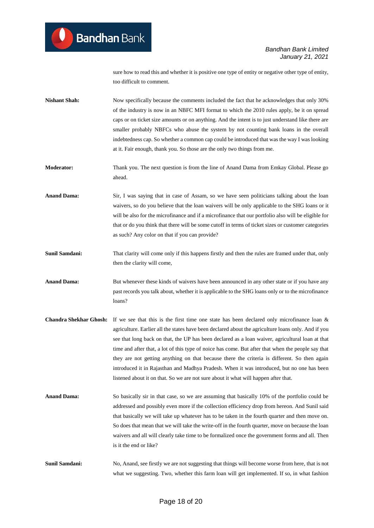sure how to read this and whether it is positive one type of entity or negative other type of entity, too difficult to comment.

**Nishant Shah:** Now specifically because the comments included the fact that he acknowledges that only 30% of the industry is now in an NBFC MFI format to which the 2010 rules apply, be it on spread caps or on ticket size amounts or on anything. And the intent is to just understand like there are smaller probably NBFCs who abuse the system by not counting bank loans in the overall indebtedness cap. So whether a common cap could be introduced that was the way I was looking at it. Fair enough, thank you. So those are the only two things from me.

**Moderator:** Thank you. The next question is from the line of Anand Dama from Emkay Global. Please go ahead.

**Anand Dama:** Sir, I was saying that in case of Assam, so we have seen politicians talking about the loan waivers, so do you believe that the loan waivers will be only applicable to the SHG loans or it will be also for the microfinance and if a microfinance that our portfolio also will be eligible for that or do you think that there will be some cutoff in terms of ticket sizes or customer categories as such? Any color on that if you can provide?

**Sunil Samdani:** That clarity will come only if this happens firstly and then the rules are framed under that, only then the clarity will come,

**Anand Dama:** But whenever these kinds of waivers have been announced in any other state or if you have any past records you talk about, whether it is applicable to the SHG loans only or to the microfinance loans?

- **Chandra Shekhar Ghosh:** If we see that this is the first time one state has been declared only microfinance loan & agriculture. Earlier all the states have been declared about the agriculture loans only. And if you see that long back on that, the UP has been declared as a loan waiver, agricultural loan at that time and after that, a lot of this type of noice has come. But after that when the people say that they are not getting anything on that because there the criteria is different. So then again introduced it in Rajasthan and Madhya Pradesh. When it was introduced, but no one has been listened about it on that. So we are not sure about it what will happen after that.
- **Anand Dama:** So basically sir in that case, so we are assuming that basically 10% of the portfolio could be addressed and possibly even more if the collection efficiency drop from hereon. And Sunil said that basically we will take up whatever has to be taken in the fourth quarter and then move on. So does that mean that we will take the write-off in the fourth quarter, move on because the loan waivers and all will clearly take time to be formalized once the government forms and all. Then is it the end or like?

**Sunil Samdani:** No, Anand, see firstly we are not suggesting that things will become worse from here, that is not what we suggesting. Two, whether this farm loan will get implemented. If so, in what fashion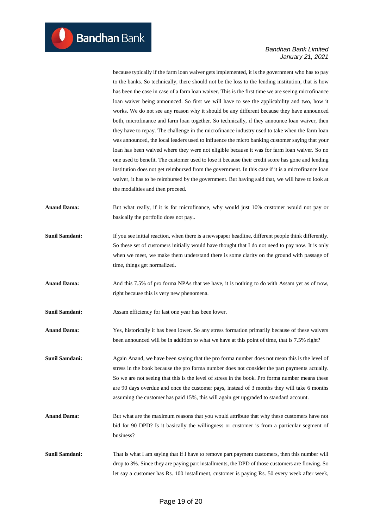because typically if the farm loan waiver gets implemented, it is the government who has to pay to the banks. So technically, there should not be the loss to the lending institution, that is how has been the case in case of a farm loan waiver. This is the first time we are seeing microfinance loan waiver being announced. So first we will have to see the applicability and two, how it works. We do not see any reason why it should be any different because they have announced both, microfinance and farm loan together. So technically, if they announce loan waiver, then they have to repay. The challenge in the microfinance industry used to take when the farm loan was announced, the local leaders used to influence the micro banking customer saying that your loan has been waived where they were not eligible because it was for farm loan waiver. So no one used to benefit. The customer used to lose it because their credit score has gone and lending institution does not get reimbursed from the government. In this case if it is a microfinance loan waiver, it has to be reimbursed by the government. But having said that, we will have to look at the modalities and then proceed.

**Anand Dama:** But what really, if it is for microfinance, why would just 10% customer would not pay or basically the portfolio does not pay..

- **Sunil Samdani:** If you see initial reaction, when there is a newspaper headline, different people think differently. So these set of customers initially would have thought that I do not need to pay now. It is only when we meet, we make them understand there is some clarity on the ground with passage of time, things get normalized.
- **Anand Dama:** And this 7.5% of pro forma NPAs that we have, it is nothing to do with Assam yet as of now, right because this is very new phenomena.

**Sunil Samdani:** Assam efficiency for last one year has been lower.

**Anand Dama:** Yes, historically it has been lower. So any stress formation primarily because of these waivers been announced will be in addition to what we have at this point of time, that is 7.5% right?

**Sunil Samdani:** Again Anand, we have been saying that the pro forma number does not mean this is the level of stress in the book because the pro forma number does not consider the part payments actually. So we are not seeing that this is the level of stress in the book. Pro forma number means these are 90 days overdue and once the customer pays, instead of 3 months they will take 6 months assuming the customer has paid 15%, this will again get upgraded to standard account.

Anand Dama: But what are the maximum reasons that you would attribute that why these customers have not bid for 90 DPD? Is it basically the willingness or customer is from a particular segment of business?

**Sunil Samdani:** That is what I am saying that if I have to remove part payment customers, then this number will drop to 3%. Since they are paying part installments, the DPD of those customers are flowing. So let say a customer has Rs. 100 installment, customer is paying Rs. 50 every week after week,